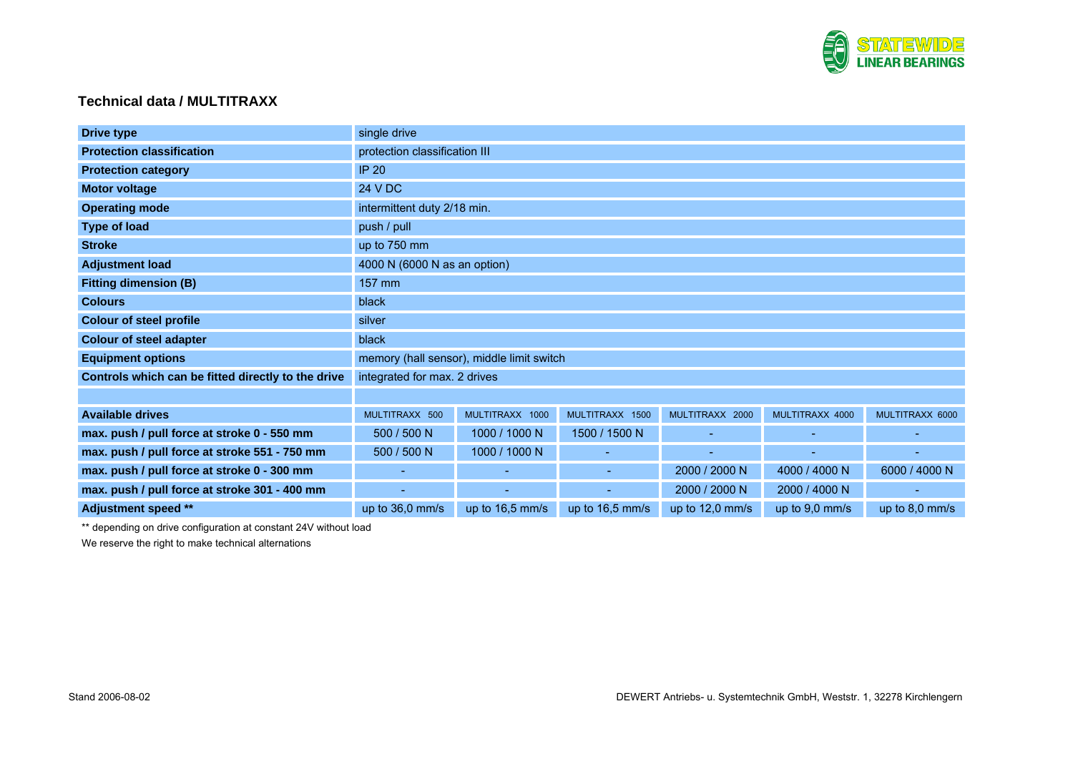

## **Technical data / MULTITRAXX**

| <b>Drive type</b>                                  | single drive                              |                          |                 |                   |                          |                          |
|----------------------------------------------------|-------------------------------------------|--------------------------|-----------------|-------------------|--------------------------|--------------------------|
| <b>Protection classification</b>                   | protection classification III             |                          |                 |                   |                          |                          |
| <b>Protection category</b>                         | <b>IP 20</b>                              |                          |                 |                   |                          |                          |
| <b>Motor voltage</b>                               | 24 V DC                                   |                          |                 |                   |                          |                          |
| <b>Operating mode</b>                              | intermittent duty 2/18 min.               |                          |                 |                   |                          |                          |
| <b>Type of load</b>                                | push / pull                               |                          |                 |                   |                          |                          |
| <b>Stroke</b>                                      | up to 750 mm                              |                          |                 |                   |                          |                          |
| <b>Adjustment load</b>                             | 4000 N (6000 N as an option)              |                          |                 |                   |                          |                          |
| <b>Fitting dimension (B)</b>                       | 157 mm                                    |                          |                 |                   |                          |                          |
| <b>Colours</b>                                     | black                                     |                          |                 |                   |                          |                          |
| <b>Colour of steel profile</b>                     | silver                                    |                          |                 |                   |                          |                          |
| <b>Colour of steel adapter</b>                     | black                                     |                          |                 |                   |                          |                          |
| <b>Equipment options</b>                           | memory (hall sensor), middle limit switch |                          |                 |                   |                          |                          |
| Controls which can be fitted directly to the drive | integrated for max. 2 drives              |                          |                 |                   |                          |                          |
|                                                    |                                           |                          |                 |                   |                          |                          |
| <b>Available drives</b>                            | MULTITRAXX 500                            | MULTITRAXX 1000          | MULTITRAXX 1500 | MULTITRAXX 2000   | MULTITRAXX 4000          | MULTITRAXX 6000          |
| max. push / pull force at stroke 0 - 550 mm        | 500 / 500 N                               | 1000 / 1000 N            | 1500 / 1500 N   | $\sim$            | $\overline{\phantom{a}}$ | $\overline{\phantom{a}}$ |
| max. push / pull force at stroke 551 - 750 mm      | 500 / 500 N                               | 1000 / 1000 N            |                 |                   |                          |                          |
| max. push / pull force at stroke 0 - 300 mm        | ٠                                         | ۰                        | ÷               | 2000 / 2000 N     | 4000 / 4000 N            | 6000 / 4000 N            |
| max. push / pull force at stroke 301 - 400 mm      |                                           | $\overline{\phantom{a}}$ |                 | 2000 / 2000 N     | 2000 / 4000 N            |                          |
| Adjustment speed **                                | up to $36,0$ mm/s                         | up to 16,5 mm/s          | up to 16,5 mm/s | up to $12,0$ mm/s | up to $9,0$ mm/s         | up to $8,0$ mm/s         |

\*\* depending on drive configuration at constant 24V without load

We reserve the right to make technical alternations